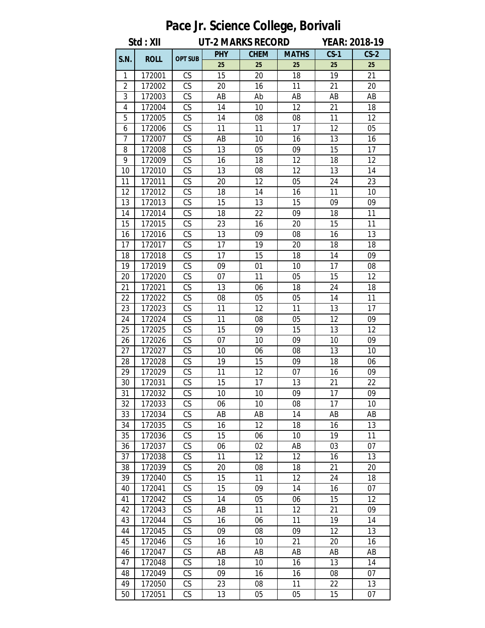|                | $1.3000100$ volution and $1001$<br>Std: XII<br><b>UT-2 MARKS RECORD</b><br><b>YEAR: 2018-19</b> |                        |            |             |              |          |          |  |  |  |
|----------------|-------------------------------------------------------------------------------------------------|------------------------|------------|-------------|--------------|----------|----------|--|--|--|
|                |                                                                                                 |                        |            |             |              |          |          |  |  |  |
| S.N.           | <b>ROLL</b>                                                                                     | <b>OPT SUB</b>         | <b>PHY</b> | <b>CHEM</b> | <b>MATHS</b> | $CS-1$   | $CS-2$   |  |  |  |
| 1              | 172001                                                                                          | CS                     | 25<br>15   | 25<br>20    | 25<br>18     | 25<br>19 | 25<br>21 |  |  |  |
| $\overline{2}$ | 172002                                                                                          | CS                     | 20         | 16          | 11           | 21       | 20       |  |  |  |
| 3              | 172003                                                                                          | CS                     | AB         | Ab          | AB           | AB       | AB       |  |  |  |
| 4              | 172004                                                                                          | $\overline{\text{CS}}$ | 14         | 10          | 12           | 21       | 18       |  |  |  |
| 5              | 172005                                                                                          | CS                     | 14         | 08          | 08           | 11       | 12       |  |  |  |
| 6              | 172006                                                                                          | CS                     | 11         | 11          | 17           | 12       | 05       |  |  |  |
| 7              | 172007                                                                                          | CS                     | AB         | 10          | 16           | 13       | 16       |  |  |  |
| 8              | 172008                                                                                          | CS                     | 13         | 05          | 09           | 15       | 17       |  |  |  |
| 9              | 172009                                                                                          | CS                     | 16         | 18          | 12           | 18       | 12       |  |  |  |
| 10             | 172010                                                                                          | CS                     | 13         | 08          | 12           | 13       | 14       |  |  |  |
| 11             | 172011                                                                                          | CS                     | 20         | 12          | 05           | 24       | 23       |  |  |  |
| 12             | 172012                                                                                          | $\overline{\text{CS}}$ | 18         | 14          | 16           | 11       | 10       |  |  |  |
| 13             | 172013                                                                                          | CS                     | 15         | 13          | 15           | 09       | 09       |  |  |  |
| 14             | 172014                                                                                          | CS                     | 18         | 22          | 09           | 18       | 11       |  |  |  |
| 15             | 172015                                                                                          | CS                     | 23         | 16          | 20           | 15       | 11       |  |  |  |
| 16             | 172016                                                                                          | CS                     | 13         | 09          | 08           | 16       | 13       |  |  |  |
| 17             | 172017                                                                                          | $\overline{\text{CS}}$ | 17         | 19          | 20           | 18       | 18       |  |  |  |
| 18             | 172018                                                                                          | CS                     | 17         | 15          | 18           | 14       | 09       |  |  |  |
| 19             | 172019                                                                                          | CS                     | 09         | 01          | 10           | 17       | 08       |  |  |  |
| 20             | 172020                                                                                          | CS                     | 07         | 11          | 05           | 15       | 12       |  |  |  |
| 21             | 172021                                                                                          | CS                     | 13         | 06          | 18           | 24       | 18       |  |  |  |
| 22             | 172022                                                                                          | $\overline{\text{CS}}$ | 08         | 05          | 05           | 14       | 11       |  |  |  |
| 23             | 172023                                                                                          | $\overline{\text{CS}}$ | 11         | 12          | 11           | 13       | 17       |  |  |  |
| 24             | 172024                                                                                          | CS                     | 11         | 08          | 05           | 12       | 09       |  |  |  |
| 25             | 172025                                                                                          | CS                     | 15         | 09          | 15           | 13       | 12       |  |  |  |
| 26             | 172026                                                                                          | CS                     | 07         | 10          | 09           | 10       | 09       |  |  |  |
| 27             | 172027                                                                                          | CS                     | 10         | 06          | 08           | 13       | 10       |  |  |  |
| 28             | 172028                                                                                          | $\overline{\text{CS}}$ | 19         | 15          | 09           | 18       | 06       |  |  |  |
| 29             | 172029                                                                                          | CS                     | 11         | 12          | 07           | 16       | 09       |  |  |  |
| 30             | 172031                                                                                          | CS                     | 15         | 17          | 13           | 21       | 22       |  |  |  |
| 31             | 172032                                                                                          | CS                     | 10         | 10          | 09           | 17       | 09       |  |  |  |
| 32             | 172033                                                                                          | CS                     | 06         | 10          | 08           | 17       | 10       |  |  |  |
| 33             | 172034                                                                                          | CS                     | AB         | AB          | 14           | AB       | AB       |  |  |  |
| 34             | 172035                                                                                          | CS                     | 16         | 12          | 18           | 16       | 13       |  |  |  |
| 35             | 172036                                                                                          | $\mathsf{CS}\,$        | 15         | 06          | 10           | 19       | 11       |  |  |  |
| 36             | 172037                                                                                          | CS                     | 06         | 02          | AB           | 03       | 07       |  |  |  |
| 37             | 172038                                                                                          | CS                     | 11         | 12          | 12           | 16       | 13       |  |  |  |
| 38<br>39       | 172039                                                                                          | $\mathsf{CS}\,$<br>CS  | 20<br>15   | 08<br>11    | 18<br>12     | 21       | 20<br>18 |  |  |  |
|                | 172040                                                                                          |                        |            |             |              | 24       |          |  |  |  |
| 40<br>41       | 172041                                                                                          | CS<br>CS               | 15<br>14   | 09          | 14           | 16<br>15 | 07<br>12 |  |  |  |
|                | 172042                                                                                          | CS                     |            | 05          | 06           |          |          |  |  |  |
| 42<br>43       | 172043<br>172044                                                                                | CS                     | AB<br>16   | 11<br>06    | 12<br>11     | 21<br>19 | 09<br>14 |  |  |  |
| 44             | 172045                                                                                          | $\overline{\text{CS}}$ | 09         | 08          | 09           | 12       | 13       |  |  |  |
| 45             | 172046                                                                                          | CS                     | 16         | 10          | 21           | 20       | 16       |  |  |  |
| 46             | 172047                                                                                          | CS                     | AB         | AB          | AB           | AB       | AB       |  |  |  |
| 47             | 172048                                                                                          | $\mathsf{CS}\,$        | 18         | 10          | 16           | 13       | 14       |  |  |  |
| 48             | 172049                                                                                          | CS                     | 09         | 16          | 16           | 08       | 07       |  |  |  |
| 49             | 172050                                                                                          | CS                     | 23         | 08          | 11           | 22       | 13       |  |  |  |
| 50             | 172051                                                                                          | CS                     | 13         | 05          | 05           | 15       | 07       |  |  |  |

## **Pace Jr. Science College, Borivali**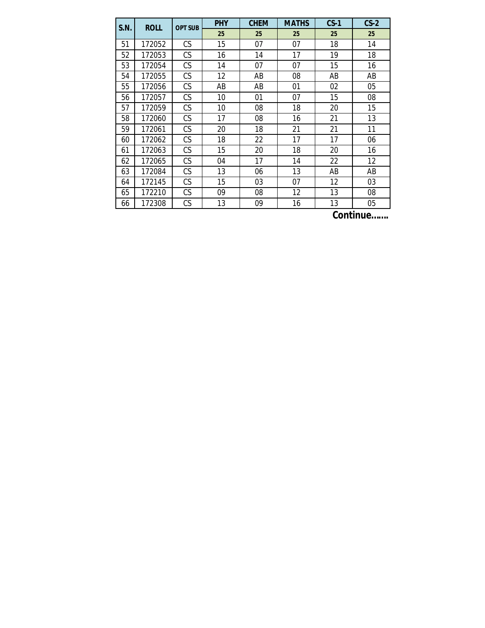| S.N. | <b>ROLL</b> | <b>OPT SUB</b> | <b>PHY</b> | <b>CHEM</b> | <b>MATHS</b> | $CS-1$                             | $CS-2$ |
|------|-------------|----------------|------------|-------------|--------------|------------------------------------|--------|
|      |             |                | 25         | 25          | 25           | 25                                 | 25     |
| 51   | 172052      | CS             | 15         | 07          | 07           | 18                                 | 14     |
| 52   | 172053      | CS             | 16         | 14          | 17           | 19                                 | 18     |
| 53   | 172054      | CS             | 14         | 07          | 07           | 15                                 | 16     |
| 54   | 172055      | CS             | 12         | AB          | 08           | AB                                 | AB     |
| 55   | 172056      | CS             | AB         | AB          | 01           | 02                                 | 05     |
| 56   | 172057      | СS             | 10         | 01          | 07           | 15                                 | 08     |
| 57   | 172059      | CS             | 10         | 08          | 18           | 20                                 | 15     |
| 58   | 172060      | CS             | 17         | 08          | 16           | 21                                 | 13     |
| 59   | 172061      | CS             | 20         | 18          | 21           | 21                                 | 11     |
| 60   | 172062      | CS             | 18         | 22          | 17           | 17                                 | 06     |
| 61   | 172063      | CS             | 15         | 20          | 18           | 20                                 | 16     |
| 62   | 172065      | CS             | 04         | 17          | 14           | 22                                 | 12     |
| 63   | 172084      | CS             | 13         | 06          | 13           | AB                                 | AB     |
| 64   | 172145      | CS             | 15         | 03          | 07           | 12                                 | 03     |
| 65   | 172210      | CS             | 09         | 08          | 12           | 13                                 | 08     |
| 66   | 172308      | CS             | 13         | 09          | 16           | 13<br><br>$\overline{\phantom{a}}$ | 05     |

**Continue…….**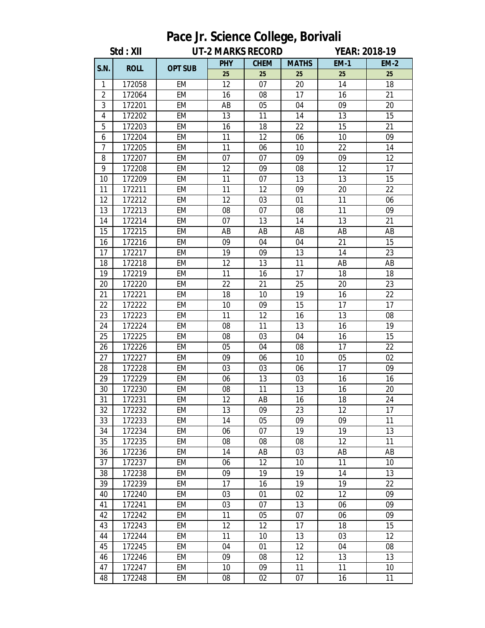| Pace Jr. Science College, Borivali |             |                |                          |             |              |                      |                 |  |  |
|------------------------------------|-------------|----------------|--------------------------|-------------|--------------|----------------------|-----------------|--|--|
|                                    | Std : XII   |                | <b>UT-2 MARKS RECORD</b> |             |              | <b>YEAR: 2018-19</b> |                 |  |  |
|                                    |             |                | <b>PHY</b>               | <b>CHEM</b> | <b>MATHS</b> | <b>EM-1</b>          | <b>EM-2</b>     |  |  |
| S.N.                               | <b>ROLL</b> | <b>OPT SUB</b> | 25                       | 25          | 25           | 25                   | 25              |  |  |
| 1                                  | 172058      | <b>EM</b>      | 12                       | 07          | 20           | 14                   | 18              |  |  |
| $\overline{2}$                     | 172064      | <b>EM</b>      | 16                       | 08          | 17           | 16                   | 21              |  |  |
| 3                                  | 172201      | EM             | AB                       | 05          | 04           | 09                   | 20              |  |  |
| 4                                  | 172202      | <b>EM</b>      | 13                       | 11          | 14           | 13                   | 15              |  |  |
| 5                                  | 172203      | EM             | 16                       | 18          | 22           | 15                   | 21              |  |  |
| 6                                  | 172204      | <b>EM</b>      | 11                       | 12          | 06           | 10                   | 09              |  |  |
| $\overline{7}$                     | 172205      | <b>EM</b>      | 11                       | 06          | 10           | 22                   | 14              |  |  |
| 8                                  | 172207      | EM             | 07                       | 07          | 09           | 09                   | 12              |  |  |
| 9                                  | 172208      | <b>EM</b>      | 12                       | 09          | 08           | 12                   | 17              |  |  |
| 10                                 | 172209      | EM             | 11                       | 07          | 13           | 13                   | 15              |  |  |
| 11                                 | 172211      | <b>EM</b>      | 11                       | 12          | 09           | 20                   | 22              |  |  |
| 12                                 | 172212      | EM             | 12                       | 03          | 01           | 11                   | 06              |  |  |
| 13                                 | 172213      | EM             | 08                       | 07          | 08           | 11                   | 09              |  |  |
| 14                                 | 172214      | <b>EM</b>      | 07                       | 13          | 14           | 13                   | 21              |  |  |
| 15                                 | 172215      | EM             | AB                       | AB          | AB           | AB                   | AB              |  |  |
| 16                                 | 172216      | <b>EM</b>      | 09                       | 04          | 04           | 21                   | 15              |  |  |
| 17                                 | 172217      | EM             | 19                       | 09          | 13           | 14                   | 23              |  |  |
| 18                                 | 172218      | EM             | 12                       | 13          | 11           | AB                   | AB              |  |  |
| 19                                 | 172219      | <b>EM</b>      | 11                       | 16          | 17           | 18                   | 18              |  |  |
| 20                                 | 172220      | <b>EM</b>      | 22                       | 21          | 25           | 20                   | 23              |  |  |
| 21                                 | 172221      | <b>EM</b>      | 18                       | 10          | 19           | 16                   | 22              |  |  |
| 22                                 | 172222      | EM             | 10                       | 09          | 15           | 17                   | 17              |  |  |
| 23                                 | 172223      | <b>EM</b>      | 11                       | 12          | 16           | 13                   | 08              |  |  |
| 24                                 | 172224      | EM             | 08                       | 11          | 13           | 16                   | 19              |  |  |
| 25                                 | 172225      | EM             | 08                       | 03          | 04           | 16                   | 15              |  |  |
| 26                                 | 172226      | <b>EM</b>      | 05                       | 04          | 08           | 17                   | 22              |  |  |
| 27                                 | 172227      | EM             | 09                       | 06          | 10           | 05                   | 02              |  |  |
| 28                                 | 172228      | <b>EM</b>      | 03                       | 03          | 06           | 17                   | 09              |  |  |
| 29                                 | 172229      | EM             | 06                       | 13          | 03           | 16                   | 16              |  |  |
| 30                                 | 172230      | EM             | 08                       | 11          | 13           | 16                   | 20              |  |  |
| 31                                 | 172231      | <b>EM</b>      | 12                       | AB          | 16           | 18                   | 24              |  |  |
| 32                                 | 172232      | EM             | 13                       | 09          | 23           | 12                   | 17              |  |  |
| 33                                 | 172233      | EM             | 14                       | 05          | 09           | 09                   | 11              |  |  |
| 34                                 | 172234      | EM             | 06                       | 07          | 19           | 19                   | 13              |  |  |
| 35                                 | 172235      | EM             | 08                       | 08          | 08           | 12                   | 11              |  |  |
| 36                                 | 172236      | EM             | 14                       | AB          | 03           | AB                   | AB              |  |  |
| 37                                 | 172237      | EM             | 06                       | 12          | 10           | 11                   | 10 <sup>1</sup> |  |  |
| 38                                 | 172238      | EM             | 09                       | 19          | 19           | 14                   | 13              |  |  |
| 39                                 | 172239      | EM             | 17                       | 16          | 19           | 19                   | 22              |  |  |
| 40                                 | 172240      | EM             | 03                       | 01          | 02           | 12                   | 09              |  |  |
| 41                                 | 172241      | EM             | 03                       | 07          | 13           | 06                   | 09              |  |  |
| 42                                 | 172242      | EM             | 11                       | 05          | 07           | 06                   | 09              |  |  |
| 43                                 | 172243      | EM             | 12                       | 12          | 17           | 18                   | 15              |  |  |
| 44                                 | 172244      | EM             | 11                       | 10          | 13           | 03                   | 12              |  |  |
| 45                                 | 172245      | EM             | 04                       | 01          | 12           | 04                   | 08              |  |  |
| 46                                 | 172246      | EM             | 09                       | 08          | 12           | 13                   | 13              |  |  |
| 47                                 | 172247      | <b>EM</b>      | 10                       | 09          | 11           | 11                   | 10              |  |  |
| 48                                 | 172248      | EM             | 08                       | 02          | 07           | 16                   | 11              |  |  |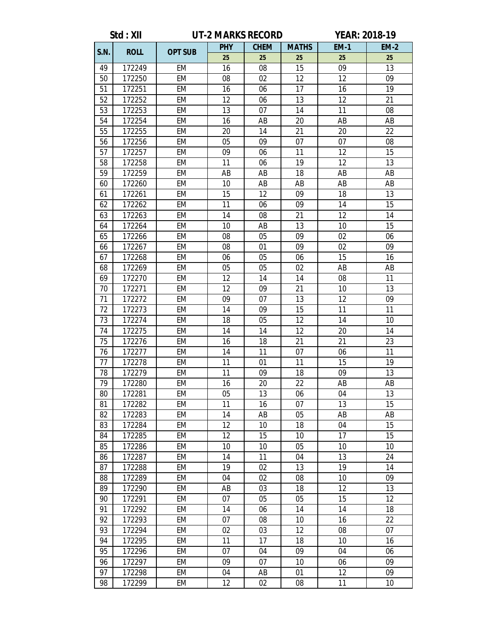|             | Std: XII    | <b>UT-2 MARKS RECORD</b> |            |             |              | <b>YEAR: 2018-19</b> |             |  |
|-------------|-------------|--------------------------|------------|-------------|--------------|----------------------|-------------|--|
|             |             |                          | <b>PHY</b> | <b>CHEM</b> | <b>MATHS</b> | <b>EM-1</b>          | <b>EM-2</b> |  |
| <b>S.N.</b> | <b>ROLL</b> | <b>OPT SUB</b>           | 25         | 25          | 25           | 25                   | 25          |  |
| 49          | 172249      | <b>EM</b>                | 16         | 08          | 15           | 09                   | 13          |  |
| 50          | 172250      | <b>EM</b>                | 08         | 02          | 12           | 12                   | 09          |  |
| 51          | 172251      | <b>EM</b>                | 16         | 06          | 17           | 16                   | 19          |  |
| 52          | 172252      | EM                       | 12         | 06          | 13           | 12                   | 21          |  |
| 53          | 172253      | EM                       | 13         | 07          | 14           | 11                   | 08          |  |
| 54          | 172254      | EM                       | 16         | AB          | 20           | AB                   | AB          |  |
| 55          | 172255      | EM                       | 20         | 14          | 21           | 20                   | 22          |  |
| 56          | 172256      | <b>EM</b>                | 05         | 09          | 07           | 07                   | 08          |  |
| 57          | 172257      | EM                       | 09         | 06          | 11           | 12                   | 15          |  |
| 58          | 172258      | EM                       | 11         | 06          | 19           | 12                   | 13          |  |
| 59          | 172259      | EM                       | AB         | AB          | 18           | AB                   | AB          |  |
| 60          | 172260      | EM                       | 10         | AB          | AB           | AB                   | AB          |  |
| 61          | 172261      | <b>EM</b>                | 15         | 12          | 09           | 18                   | 13          |  |
| 62          | 172262      | EM                       | 11         | 06          | 09           | 14                   | 15          |  |
| 63          | 172263      | EM                       | 14         | 08          | 21           | 12                   | 14          |  |
| 64          | 172264      | EM                       | 10         | AB          | 13           | 10                   | 15          |  |
| 65          | 172266      | <b>EM</b>                | 08         | 05          | 09           | 02                   | 06          |  |
| 66          | 172267      | <b>EM</b>                | 08         | 01          | 09           | 02                   | 09          |  |
| 67          | 172268      | EM                       | 06         | 05          | 06           | 15                   | 16          |  |
| 68          | 172269      | EM                       | 05         | 05          | 02           | AB                   | AB          |  |
| 69          | 172270      | EM                       | 12         | 14          | 14           | 08                   | 11          |  |
| 70          | 172271      | EM                       | 12         | 09          | 21           | 10                   | 13          |  |
| 71          | 172272      | EM                       | 09         | 07          | 13           | 12                   | 09          |  |
| 72          | 172273      | EM                       | 14         | 09          | 15           | 11                   | 11          |  |
| 73          | 172274      | EM                       | 18         | 05          | 12           | 14                   | 10          |  |
| 74          | 172275      | EM                       | 14         | 14          | 12           | 20                   | 14          |  |
| 75          | 172276      | EM                       | 16         | 18          | 21           | 21                   | 23          |  |
| 76          | 172277      | EM                       | 14         | 11          | 07           | 06                   | 11          |  |
| 77          | 172278      | EM                       | 11         | 01          | 11           | 15                   | 19          |  |
| 78          | 172279      | EM                       | 11         | 09          | 18           | 09                   | 13          |  |
| 79          | 172280      | EM                       | 16         | 20          | 22           | AB                   | AB          |  |
| 80          | 172281      | EM                       | 05         | 13          | 06           | 04                   | 13          |  |
| 81          | 172282      | EM                       | 11         | 16          | 07           | 13                   | 15          |  |
| 82          | 172283      | EM                       | 14         | AB          | 05           | AB                   | AB          |  |
| 83          | 172284      | EM                       | 12         | 10          | 18           | 04                   | 15          |  |
| 84          | 172285      | EM                       | 12         | 15          | 10           | 17                   | 15          |  |
| 85          | 172286      | EM                       | 10         | 10          | 05           | 10                   | 10          |  |
| 86          | 172287      | EM                       | 14         | 11          | 04           | 13                   | 24          |  |
| 87          | 172288      | EM                       | 19         | 02          | 13           | 19                   | 14          |  |
| 88          | 172289      | EM                       | 04         | 02          | 08           | 10                   | 09          |  |
| 89          | 172290      | EM                       | AB         | 03          | 18           | 12                   | 13          |  |
| 90          | 172291      | EM                       | 07         | 05          | 05           | 15                   | 12          |  |
| 91          | 172292      | EM                       | 14         | 06          | 14           | 14                   | 18          |  |
| 92          | 172293      | EM                       | 07         | 08          | 10           | 16                   | 22          |  |
| 93          | 172294      | EM                       | 02         | 03          | 12           | 08                   | 07          |  |
| 94          | 172295      | EM                       | 11         | 17          | 18           | 10                   | 16          |  |
| 95          | 172296      | <b>EM</b>                | 07         | 04          | 09           | 04                   | 06          |  |
| 96          | 172297      | EM                       | 09         | 07          | 10           | 06                   | 09          |  |
| 97          | 172298      | EM                       | 04         | AB          | 01           | 12                   | 09          |  |
| 98          | 172299      | EM                       | 12         | 02          | 08           | 11                   | 10          |  |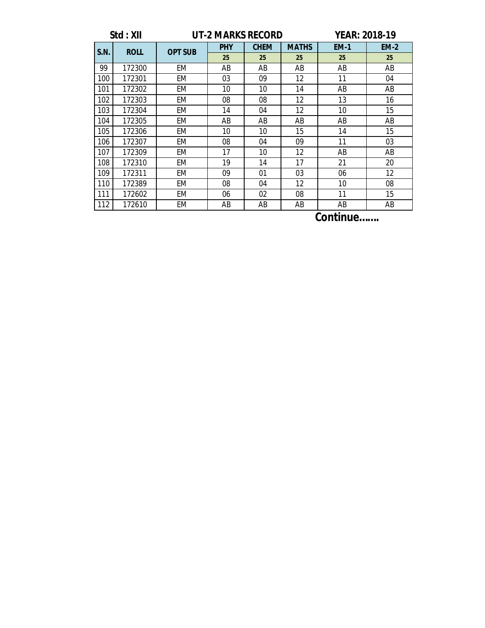|      | Std: XII             |                | <b>UT-2 MARKS RECORD</b> | <b>YEAR: 2018-19</b> |              |             |             |  |  |
|------|----------------------|----------------|--------------------------|----------------------|--------------|-------------|-------------|--|--|
| S.N. | <b>ROLL</b>          | <b>OPT SUB</b> | <b>PHY</b>               | <b>CHEM</b>          | <b>MATHS</b> | <b>EM-1</b> | <b>EM-2</b> |  |  |
|      |                      |                | 25                       | 25                   | 25           | 25          | 25          |  |  |
| 99   | 172300               | EM             | AB                       | AB                   | AB           | AB          | AB          |  |  |
| 100  | 172301               | EM             | 03                       | 09                   | 12           | 11          | 04          |  |  |
| 101  | 172302               | EM             | 10                       | 10                   | 14           | AB          | AB          |  |  |
| 102  | 172303               | EM             | 08                       | 08                   | 12           | 13          | 16          |  |  |
| 103  | 172304               | EM             | 14                       | 04                   | 12           | 10          | 15          |  |  |
| 104  | 172305               | EM             | AB                       | AB                   | AB           | AB          | AB          |  |  |
| 105  | 172306               | <b>EM</b>      | 10                       | 10                   | 15           | 14          | 15          |  |  |
| 106  | 172307               | EM             | 08                       | 04                   | 09           | 11          | 03          |  |  |
| 107  | 172309               | EM             | 17                       | 10                   | 12           | AB          | AB          |  |  |
| 108  | 172310               | EM             | 19                       | 14                   | 17           | 21          | 20          |  |  |
| 109  | 172311               | EM             | 09                       | 01                   | 03           | 06          | 12          |  |  |
| 110  | 172389               | EM             | 08                       | 04                   | 12           | 10          | 08          |  |  |
| 111  | 172602               | EM             | 06                       | 02                   | 08           | 11          | 15          |  |  |
| 112  | 172610               | EM             | ΑB                       | AB                   | AB           | ΑB          | AB          |  |  |
|      | $\rightarrow$<br>. . |                |                          |                      |              |             |             |  |  |

**Continue…….**